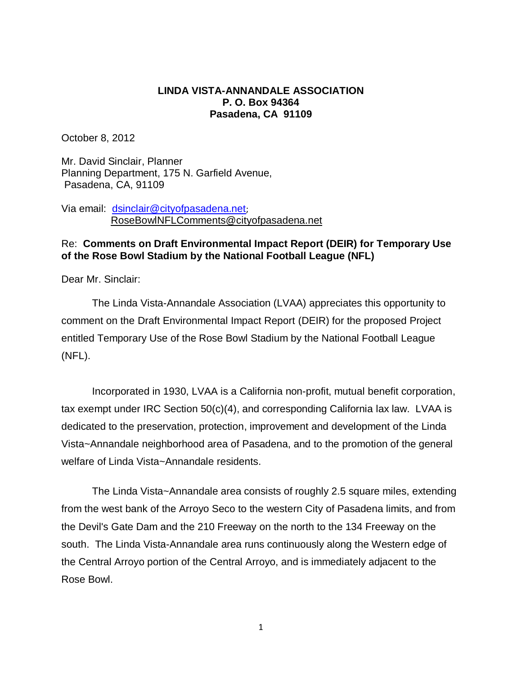## **LINDA VISTA-ANNANDALE ASSOCIATION P. O. Box 94364 Pasadena, CA 91109**

October 8, 2012

Mr. David Sinclair, Planner Planning Department, 175 N. Garfield Avenue, Pasadena, CA, 91109

Via email: [dsinclair@cityofpasadena.net](mailto:dsinclair@cityofpasadena.net); RoseBowlNFLComments@cityofpasadena.net

## Re: **Comments on Draft Environmental Impact Report (DEIR) for Temporary Use of the Rose Bowl Stadium by the National Football League (NFL)**

Dear Mr. Sinclair:

The Linda Vista-Annandale Association (LVAA) appreciates this opportunity to comment on the Draft Environmental Impact Report (DEIR) for the proposed Project entitled Temporary Use of the Rose Bowl Stadium by the National Football League (NFL).

Incorporated in 1930, LVAA is a California non-profit, mutual benefit corporation, tax exempt under IRC Section 50(c)(4), and corresponding California lax law. LVAA is dedicated to the preservation, protection, improvement and development of the Linda Vista~Annandale neighborhood area of Pasadena, and to the promotion of the general welfare of Linda Vista~Annandale residents.

The Linda Vista~Annandale area consists of roughly 2.5 square miles, extending from the west bank of the Arroyo Seco to the western City of Pasadena limits, and from the Devil's Gate Dam and the 210 Freeway on the north to the 134 Freeway on the south. The Linda Vista-Annandale area runs continuously along the Western edge of the Central Arroyo portion of the Central Arroyo, and is immediately adjacent to the Rose Bowl.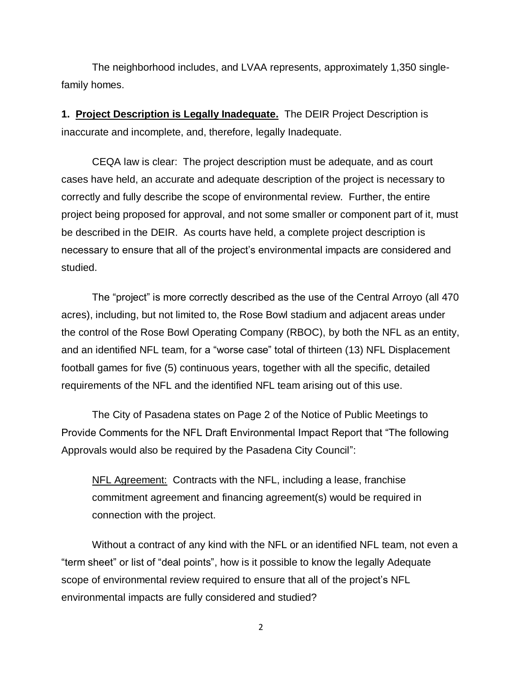The neighborhood includes, and LVAA represents, approximately 1,350 singlefamily homes.

**1. Project Description is Legally Inadequate.** The DEIR Project Description is inaccurate and incomplete, and, therefore, legally Inadequate.

CEQA law is clear: The project description must be adequate, and as court cases have held, an accurate and adequate description of the project is necessary to correctly and fully describe the scope of environmental review. Further, the entire project being proposed for approval, and not some smaller or component part of it, must be described in the DEIR. As courts have held, a complete project description is necessary to ensure that all of the project's environmental impacts are considered and studied.

The "project" is more correctly described as the use of the Central Arroyo (all 470 acres), including, but not limited to, the Rose Bowl stadium and adjacent areas under the control of the Rose Bowl Operating Company (RBOC), by both the NFL as an entity, and an identified NFL team, for a "worse case" total of thirteen (13) NFL Displacement football games for five (5) continuous years, together with all the specific, detailed requirements of the NFL and the identified NFL team arising out of this use.

The City of Pasadena states on Page 2 of the Notice of Public Meetings to Provide Comments for the NFL Draft Environmental Impact Report that "The following Approvals would also be required by the Pasadena City Council":

NFL Agreement: Contracts with the NFL, including a lease, franchise commitment agreement and financing agreement(s) would be required in connection with the project.

Without a contract of any kind with the NFL or an identified NFL team, not even a "term sheet" or list of "deal points", how is it possible to know the legally Adequate scope of environmental review required to ensure that all of the project's NFL environmental impacts are fully considered and studied?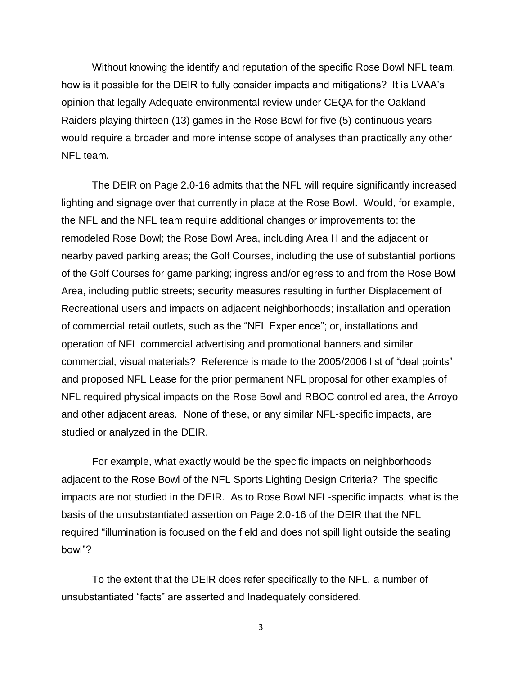Without knowing the identify and reputation of the specific Rose Bowl NFL team, how is it possible for the DEIR to fully consider impacts and mitigations? It is LVAA's opinion that legally Adequate environmental review under CEQA for the Oakland Raiders playing thirteen (13) games in the Rose Bowl for five (5) continuous years would require a broader and more intense scope of analyses than practically any other NFL team.

The DEIR on Page 2.0-16 admits that the NFL will require significantly increased lighting and signage over that currently in place at the Rose Bowl. Would, for example, the NFL and the NFL team require additional changes or improvements to: the remodeled Rose Bowl; the Rose Bowl Area, including Area H and the adjacent or nearby paved parking areas; the Golf Courses, including the use of substantial portions of the Golf Courses for game parking; ingress and/or egress to and from the Rose Bowl Area, including public streets; security measures resulting in further Displacement of Recreational users and impacts on adjacent neighborhoods; installation and operation of commercial retail outlets, such as the "NFL Experience"; or, installations and operation of NFL commercial advertising and promotional banners and similar commercial, visual materials? Reference is made to the 2005/2006 list of "deal points" and proposed NFL Lease for the prior permanent NFL proposal for other examples of NFL required physical impacts on the Rose Bowl and RBOC controlled area, the Arroyo and other adjacent areas. None of these, or any similar NFL-specific impacts, are studied or analyzed in the DEIR.

For example, what exactly would be the specific impacts on neighborhoods adjacent to the Rose Bowl of the NFL Sports Lighting Design Criteria? The specific impacts are not studied in the DEIR. As to Rose Bowl NFL-specific impacts, what is the basis of the unsubstantiated assertion on Page 2.0-16 of the DEIR that the NFL required "illumination is focused on the field and does not spill light outside the seating bowl"?

To the extent that the DEIR does refer specifically to the NFL, a number of unsubstantiated "facts" are asserted and Inadequately considered.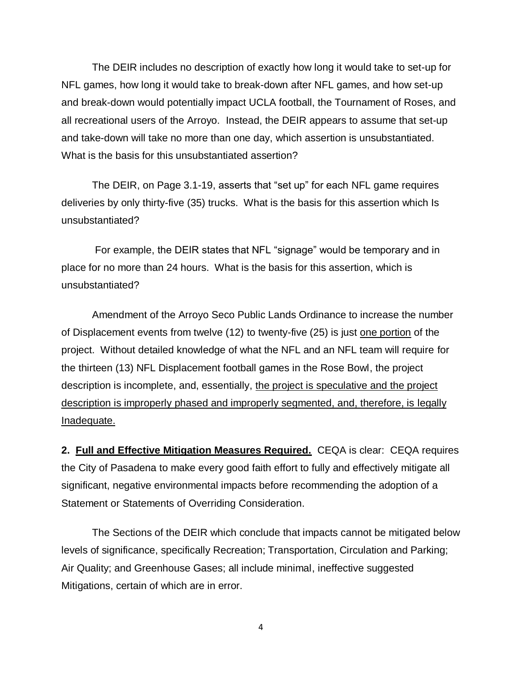The DEIR includes no description of exactly how long it would take to set-up for NFL games, how long it would take to break-down after NFL games, and how set-up and break-down would potentially impact UCLA football, the Tournament of Roses, and all recreational users of the Arroyo. Instead, the DEIR appears to assume that set-up and take-down will take no more than one day, which assertion is unsubstantiated. What is the basis for this unsubstantiated assertion?

The DEIR, on Page 3.1-19, asserts that "set up" for each NFL game requires deliveries by only thirty-five (35) trucks. What is the basis for this assertion which Is unsubstantiated?

For example, the DEIR states that NFL "signage" would be temporary and in place for no more than 24 hours. What is the basis for this assertion, which is unsubstantiated?

Amendment of the Arroyo Seco Public Lands Ordinance to increase the number of Displacement events from twelve (12) to twenty-five (25) is just one portion of the project. Without detailed knowledge of what the NFL and an NFL team will require for the thirteen (13) NFL Displacement football games in the Rose Bowl, the project description is incomplete, and, essentially, the project is speculative and the project description is improperly phased and improperly segmented, and, therefore, is legally Inadequate.

**2. Full and Effective Mitigation Measures Required.** CEQA is clear: CEQA requires the City of Pasadena to make every good faith effort to fully and effectively mitigate all significant, negative environmental impacts before recommending the adoption of a Statement or Statements of Overriding Consideration.

The Sections of the DEIR which conclude that impacts cannot be mitigated below levels of significance, specifically Recreation; Transportation, Circulation and Parking; Air Quality; and Greenhouse Gases; all include minimal, ineffective suggested Mitigations, certain of which are in error.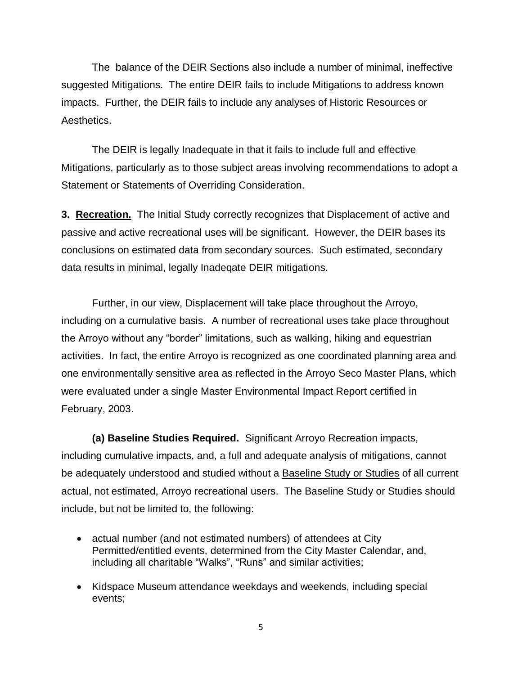The balance of the DEIR Sections also include a number of minimal, ineffective suggested Mitigations. The entire DEIR fails to include Mitigations to address known impacts. Further, the DEIR fails to include any analyses of Historic Resources or Aesthetics.

The DEIR is legally Inadequate in that it fails to include full and effective Mitigations, particularly as to those subject areas involving recommendations to adopt a Statement or Statements of Overriding Consideration.

**3. Recreation.** The Initial Study correctly recognizes that Displacement of active and passive and active recreational uses will be significant. However, the DEIR bases its conclusions on estimated data from secondary sources. Such estimated, secondary data results in minimal, legally Inadeqate DEIR mitigations.

Further, in our view, Displacement will take place throughout the Arroyo, including on a cumulative basis. A number of recreational uses take place throughout the Arroyo without any "border" limitations, such as walking, hiking and equestrian activities. In fact, the entire Arroyo is recognized as one coordinated planning area and one environmentally sensitive area as reflected in the Arroyo Seco Master Plans, which were evaluated under a single Master Environmental Impact Report certified in February, 2003.

**(a) Baseline Studies Required.** Significant Arroyo Recreation impacts, including cumulative impacts, and, a full and adequate analysis of mitigations, cannot be adequately understood and studied without a **Baseline Study or Studies of all current** actual, not estimated, Arroyo recreational users. The Baseline Study or Studies should include, but not be limited to, the following:

- actual number (and not estimated numbers) of attendees at City Permitted/entitled events, determined from the City Master Calendar, and, including all charitable "Walks", "Runs" and similar activities;
- Kidspace Museum attendance weekdays and weekends, including special events;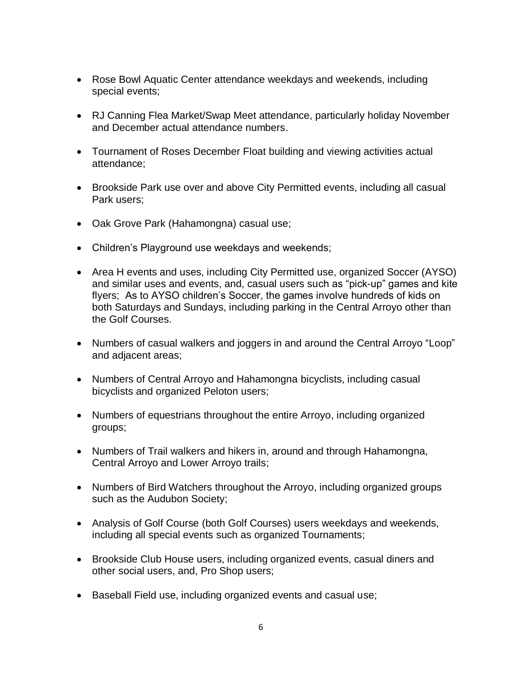- Rose Bowl Aquatic Center attendance weekdays and weekends, including special events;
- RJ Canning Flea Market/Swap Meet attendance, particularly holiday November and December actual attendance numbers.
- Tournament of Roses December Float building and viewing activities actual attendance;
- Brookside Park use over and above City Permitted events, including all casual Park users;
- Oak Grove Park (Hahamongna) casual use;
- Children's Playground use weekdays and weekends;
- Area H events and uses, including City Permitted use, organized Soccer (AYSO) and similar uses and events, and, casual users such as "pick-up" games and kite flyers; As to AYSO children's Soccer, the games involve hundreds of kids on both Saturdays and Sundays, including parking in the Central Arroyo other than the Golf Courses.
- Numbers of casual walkers and joggers in and around the Central Arroyo "Loop" and adjacent areas;
- Numbers of Central Arroyo and Hahamongna bicyclists, including casual bicyclists and organized Peloton users;
- Numbers of equestrians throughout the entire Arroyo, including organized groups;
- Numbers of Trail walkers and hikers in, around and through Hahamongna, Central Arroyo and Lower Arroyo trails;
- Numbers of Bird Watchers throughout the Arroyo, including organized groups such as the Audubon Society;
- Analysis of Golf Course (both Golf Courses) users weekdays and weekends, including all special events such as organized Tournaments;
- Brookside Club House users, including organized events, casual diners and other social users, and, Pro Shop users;
- Baseball Field use, including organized events and casual use;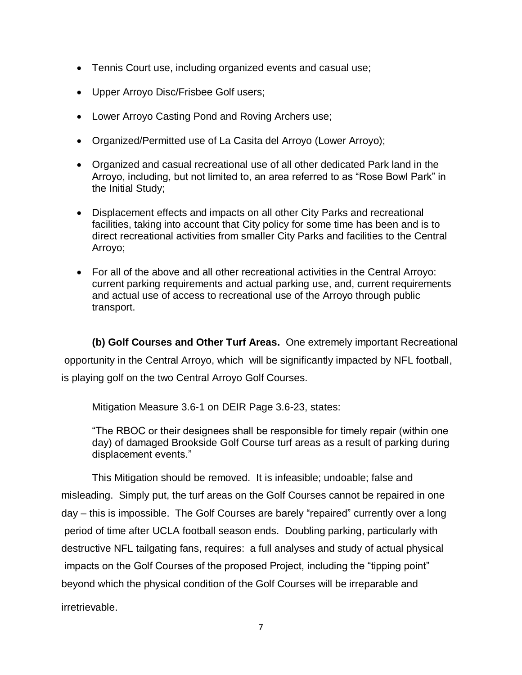- Tennis Court use, including organized events and casual use;
- Upper Arroyo Disc/Frisbee Golf users;
- Lower Arroyo Casting Pond and Roving Archers use;
- Organized/Permitted use of La Casita del Arroyo (Lower Arroyo);
- Organized and casual recreational use of all other dedicated Park land in the Arroyo, including, but not limited to, an area referred to as "Rose Bowl Park" in the Initial Study;
- Displacement effects and impacts on all other City Parks and recreational facilities, taking into account that City policy for some time has been and is to direct recreational activities from smaller City Parks and facilities to the Central Arroyo;
- For all of the above and all other recreational activities in the Central Arroyo: current parking requirements and actual parking use, and, current requirements and actual use of access to recreational use of the Arroyo through public transport.

**(b) Golf Courses and Other Turf Areas.** One extremely important Recreational opportunity in the Central Arroyo, which will be significantly impacted by NFL football, is playing golf on the two Central Arroyo Golf Courses.

Mitigation Measure 3.6-1 on DEIR Page 3.6-23, states:

"The RBOC or their designees shall be responsible for timely repair (within one day) of damaged Brookside Golf Course turf areas as a result of parking during displacement events."

This Mitigation should be removed. It is infeasible; undoable; false and misleading. Simply put, the turf areas on the Golf Courses cannot be repaired in one day – this is impossible. The Golf Courses are barely "repaired" currently over a long period of time after UCLA football season ends. Doubling parking, particularly with destructive NFL tailgating fans, requires: a full analyses and study of actual physical impacts on the Golf Courses of the proposed Project, including the "tipping point" beyond which the physical condition of the Golf Courses will be irreparable and

irretrievable.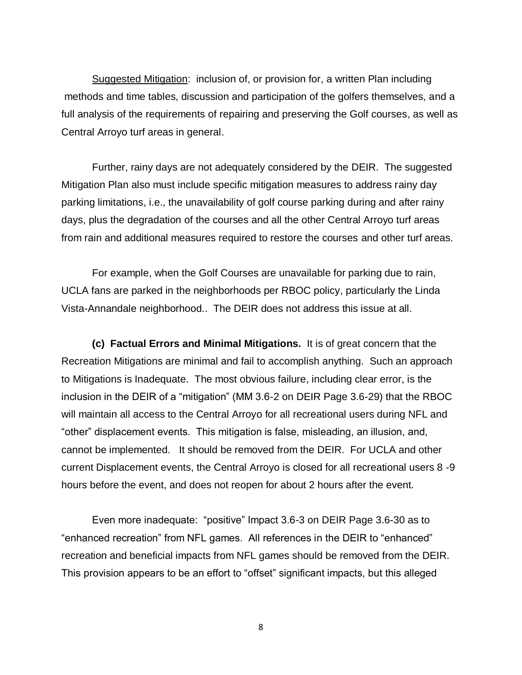Suggested Mitigation: inclusion of, or provision for, a written Plan including methods and time tables, discussion and participation of the golfers themselves, and a full analysis of the requirements of repairing and preserving the Golf courses, as well as Central Arroyo turf areas in general.

Further, rainy days are not adequately considered by the DEIR. The suggested Mitigation Plan also must include specific mitigation measures to address rainy day parking limitations, i.e., the unavailability of golf course parking during and after rainy days, plus the degradation of the courses and all the other Central Arroyo turf areas from rain and additional measures required to restore the courses and other turf areas.

For example, when the Golf Courses are unavailable for parking due to rain, UCLA fans are parked in the neighborhoods per RBOC policy, particularly the Linda Vista-Annandale neighborhood.. The DEIR does not address this issue at all.

**(c) Factual Errors and Minimal Mitigations.** It is of great concern that the Recreation Mitigations are minimal and fail to accomplish anything. Such an approach to Mitigations is Inadequate. The most obvious failure, including clear error, is the inclusion in the DEIR of a "mitigation" (MM 3.6-2 on DEIR Page 3.6-29) that the RBOC will maintain all access to the Central Arroyo for all recreational users during NFL and "other" displacement events. This mitigation is false, misleading, an illusion, and, cannot be implemented. It should be removed from the DEIR. For UCLA and other current Displacement events, the Central Arroyo is closed for all recreational users 8 -9 hours before the event, and does not reopen for about 2 hours after the event.

Even more inadequate: "positive" Impact 3.6-3 on DEIR Page 3.6-30 as to "enhanced recreation" from NFL games. All references in the DEIR to "enhanced" recreation and beneficial impacts from NFL games should be removed from the DEIR. This provision appears to be an effort to "offset" significant impacts, but this alleged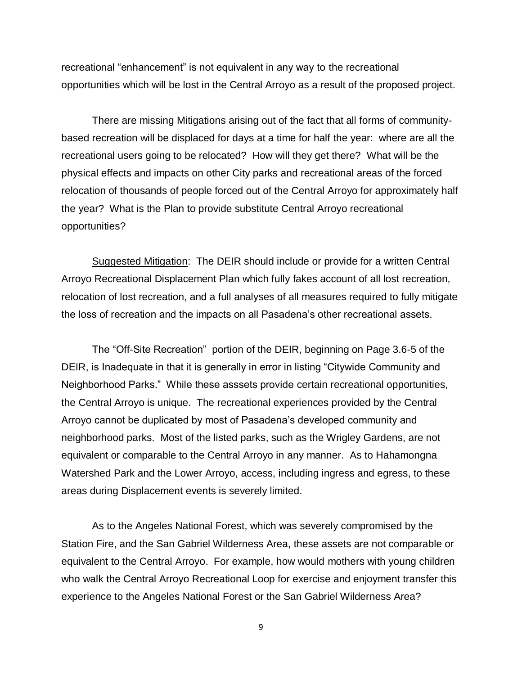recreational "enhancement" is not equivalent in any way to the recreational opportunities which will be lost in the Central Arroyo as a result of the proposed project.

There are missing Mitigations arising out of the fact that all forms of communitybased recreation will be displaced for days at a time for half the year: where are all the recreational users going to be relocated? How will they get there? What will be the physical effects and impacts on other City parks and recreational areas of the forced relocation of thousands of people forced out of the Central Arroyo for approximately half the year? What is the Plan to provide substitute Central Arroyo recreational opportunities?

Suggested Mitigation: The DEIR should include or provide for a written Central Arroyo Recreational Displacement Plan which fully fakes account of all lost recreation, relocation of lost recreation, and a full analyses of all measures required to fully mitigate the loss of recreation and the impacts on all Pasadena's other recreational assets.

The "Off-Site Recreation" portion of the DEIR, beginning on Page 3.6-5 of the DEIR, is Inadequate in that it is generally in error in listing "Citywide Community and Neighborhood Parks." While these asssets provide certain recreational opportunities, the Central Arroyo is unique. The recreational experiences provided by the Central Arroyo cannot be duplicated by most of Pasadena's developed community and neighborhood parks. Most of the listed parks, such as the Wrigley Gardens, are not equivalent or comparable to the Central Arroyo in any manner. As to Hahamongna Watershed Park and the Lower Arroyo, access, including ingress and egress, to these areas during Displacement events is severely limited.

As to the Angeles National Forest, which was severely compromised by the Station Fire, and the San Gabriel Wilderness Area, these assets are not comparable or equivalent to the Central Arroyo. For example, how would mothers with young children who walk the Central Arroyo Recreational Loop for exercise and enjoyment transfer this experience to the Angeles National Forest or the San Gabriel Wilderness Area?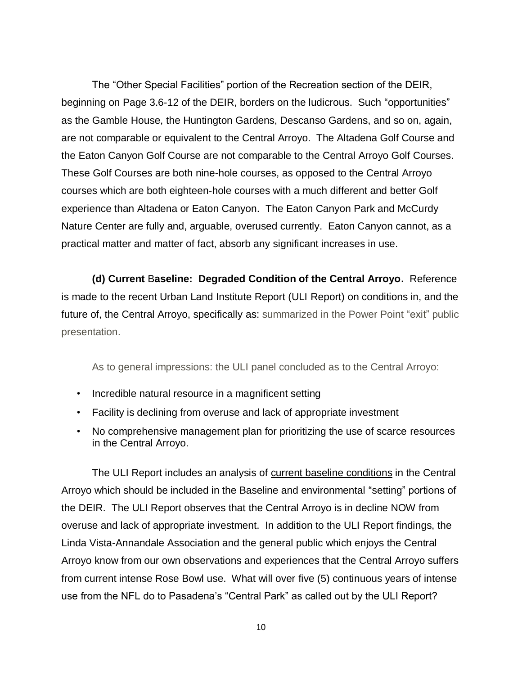The "Other Special Facilities" portion of the Recreation section of the DEIR, beginning on Page 3.6-12 of the DEIR, borders on the ludicrous. Such "opportunities" as the Gamble House, the Huntington Gardens, Descanso Gardens, and so on, again, are not comparable or equivalent to the Central Arroyo. The Altadena Golf Course and the Eaton Canyon Golf Course are not comparable to the Central Arroyo Golf Courses. These Golf Courses are both nine-hole courses, as opposed to the Central Arroyo courses which are both eighteen-hole courses with a much different and better Golf experience than Altadena or Eaton Canyon. The Eaton Canyon Park and McCurdy Nature Center are fully and, arguable, overused currently. Eaton Canyon cannot, as a practical matter and matter of fact, absorb any significant increases in use.

**(d) Current** B**aseline: Degraded Condition of the Central Arroyo.** Reference is made to the recent Urban Land Institute Report (ULI Report) on conditions in, and the future of, the Central Arroyo, specifically as: summarized in the Power Point "exit" public presentation.

As to general impressions: the ULI panel concluded as to the Central Arroyo:

- Incredible natural resource in a magnificent setting
- Facility is declining from overuse and lack of appropriate investment
- No comprehensive management plan for prioritizing the use of scarce resources in the Central Arroyo.

The ULI Report includes an analysis of current baseline conditions in the Central Arroyo which should be included in the Baseline and environmental "setting" portions of the DEIR. The ULI Report observes that the Central Arroyo is in decline NOW from overuse and lack of appropriate investment. In addition to the ULI Report findings, the Linda Vista-Annandale Association and the general public which enjoys the Central Arroyo know from our own observations and experiences that the Central Arroyo suffers from current intense Rose Bowl use. What will over five (5) continuous years of intense use from the NFL do to Pasadena's "Central Park" as called out by the ULI Report?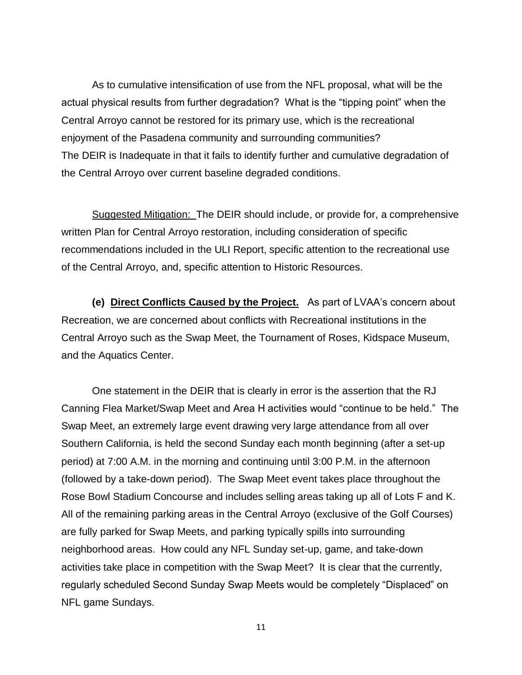As to cumulative intensification of use from the NFL proposal, what will be the actual physical results from further degradation? What is the "tipping point" when the Central Arroyo cannot be restored for its primary use, which is the recreational enjoyment of the Pasadena community and surrounding communities? The DEIR is Inadequate in that it fails to identify further and cumulative degradation of the Central Arroyo over current baseline degraded conditions.

Suggested Mitigation: The DEIR should include, or provide for, a comprehensive written Plan for Central Arroyo restoration, including consideration of specific recommendations included in the ULI Report, specific attention to the recreational use of the Central Arroyo, and, specific attention to Historic Resources.

**(e) Direct Conflicts Caused by the Project.** As part of LVAA's concern about Recreation, we are concerned about conflicts with Recreational institutions in the Central Arroyo such as the Swap Meet, the Tournament of Roses, Kidspace Museum, and the Aquatics Center.

One statement in the DEIR that is clearly in error is the assertion that the RJ Canning Flea Market/Swap Meet and Area H activities would "continue to be held." The Swap Meet, an extremely large event drawing very large attendance from all over Southern California, is held the second Sunday each month beginning (after a set-up period) at 7:00 A.M. in the morning and continuing until 3:00 P.M. in the afternoon (followed by a take-down period). The Swap Meet event takes place throughout the Rose Bowl Stadium Concourse and includes selling areas taking up all of Lots F and K. All of the remaining parking areas in the Central Arroyo (exclusive of the Golf Courses) are fully parked for Swap Meets, and parking typically spills into surrounding neighborhood areas. How could any NFL Sunday set-up, game, and take-down activities take place in competition with the Swap Meet? It is clear that the currently, regularly scheduled Second Sunday Swap Meets would be completely "Displaced" on NFL game Sundays.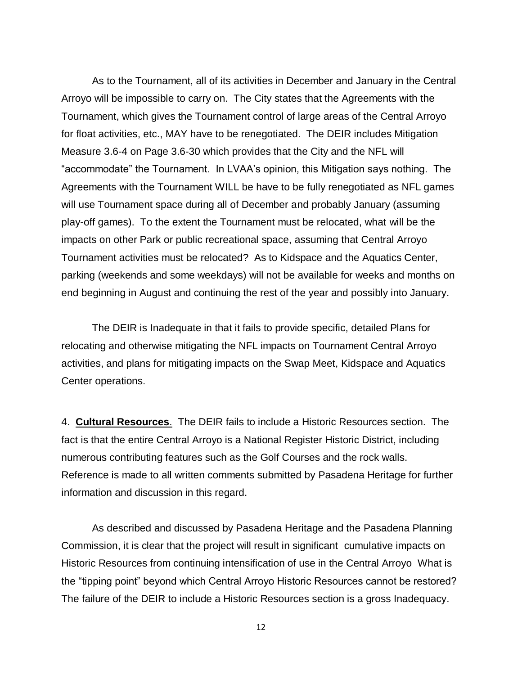As to the Tournament, all of its activities in December and January in the Central Arroyo will be impossible to carry on. The City states that the Agreements with the Tournament, which gives the Tournament control of large areas of the Central Arroyo for float activities, etc., MAY have to be renegotiated. The DEIR includes Mitigation Measure 3.6-4 on Page 3.6-30 which provides that the City and the NFL will "accommodate" the Tournament. In LVAA's opinion, this Mitigation says nothing. The Agreements with the Tournament WILL be have to be fully renegotiated as NFL games will use Tournament space during all of December and probably January (assuming play-off games). To the extent the Tournament must be relocated, what will be the impacts on other Park or public recreational space, assuming that Central Arroyo Tournament activities must be relocated? As to Kidspace and the Aquatics Center, parking (weekends and some weekdays) will not be available for weeks and months on end beginning in August and continuing the rest of the year and possibly into January.

The DEIR is Inadequate in that it fails to provide specific, detailed Plans for relocating and otherwise mitigating the NFL impacts on Tournament Central Arroyo activities, and plans for mitigating impacts on the Swap Meet, Kidspace and Aquatics Center operations.

4. **Cultural Resources**. The DEIR fails to include a Historic Resources section. The fact is that the entire Central Arroyo is a National Register Historic District, including numerous contributing features such as the Golf Courses and the rock walls. Reference is made to all written comments submitted by Pasadena Heritage for further information and discussion in this regard.

As described and discussed by Pasadena Heritage and the Pasadena Planning Commission, it is clear that the project will result in significant cumulative impacts on Historic Resources from continuing intensification of use in the Central Arroyo What is the "tipping point" beyond which Central Arroyo Historic Resources cannot be restored? The failure of the DEIR to include a Historic Resources section is a gross Inadequacy.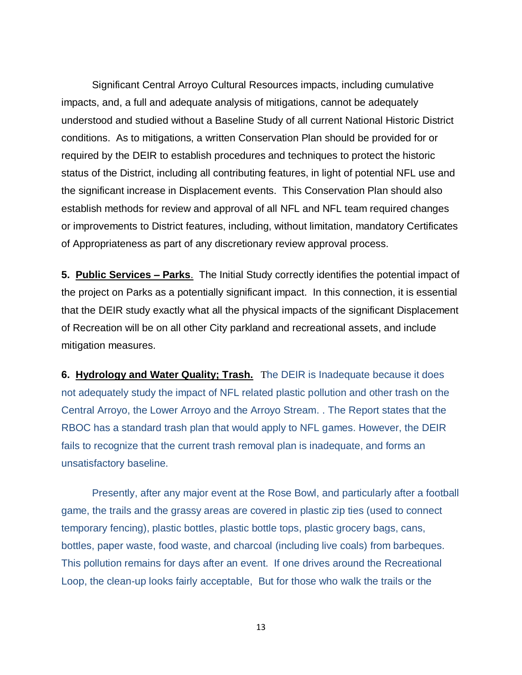Significant Central Arroyo Cultural Resources impacts, including cumulative impacts, and, a full and adequate analysis of mitigations, cannot be adequately understood and studied without a Baseline Study of all current National Historic District conditions. As to mitigations, a written Conservation Plan should be provided for or required by the DEIR to establish procedures and techniques to protect the historic status of the District, including all contributing features, in light of potential NFL use and the significant increase in Displacement events. This Conservation Plan should also establish methods for review and approval of all NFL and NFL team required changes or improvements to District features, including, without limitation, mandatory Certificates of Appropriateness as part of any discretionary review approval process.

**5. Public Services – Parks**. The Initial Study correctly identifies the potential impact of the project on Parks as a potentially significant impact. In this connection, it is essential that the DEIR study exactly what all the physical impacts of the significant Displacement of Recreation will be on all other City parkland and recreational assets, and include mitigation measures.

**6. Hydrology and Water Quality; Trash.** The DEIR is Inadequate because it does not adequately study the impact of NFL related plastic pollution and other trash on the Central Arroyo, the Lower Arroyo and the Arroyo Stream. . The Report states that the RBOC has a standard trash plan that would apply to NFL games. However, the DEIR fails to recognize that the current trash removal plan is inadequate, and forms an unsatisfactory baseline.

Presently, after any major event at the Rose Bowl, and particularly after a football game, the trails and the grassy areas are covered in plastic zip ties (used to connect temporary fencing), plastic bottles, plastic bottle tops, plastic grocery bags, cans, bottles, paper waste, food waste, and charcoal (including live coals) from barbeques. This pollution remains for days after an event. If one drives around the Recreational Loop, the clean-up looks fairly acceptable, But for those who walk the trails or the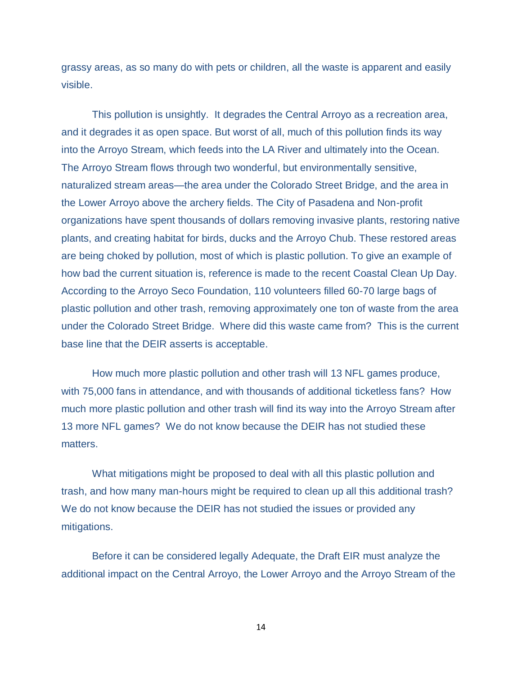grassy areas, as so many do with pets or children, all the waste is apparent and easily visible.

This pollution is unsightly. It degrades the Central Arroyo as a recreation area, and it degrades it as open space. But worst of all, much of this pollution finds its way into the Arroyo Stream, which feeds into the LA River and ultimately into the Ocean. The Arroyo Stream flows through two wonderful, but environmentally sensitive, naturalized stream areas—the area under the Colorado Street Bridge, and the area in the Lower Arroyo above the archery fields. The City of Pasadena and Non-profit organizations have spent thousands of dollars removing invasive plants, restoring native plants, and creating habitat for birds, ducks and the Arroyo Chub. These restored areas are being choked by pollution, most of which is plastic pollution. To give an example of how bad the current situation is, reference is made to the recent Coastal Clean Up Day. According to the Arroyo Seco Foundation, 110 volunteers filled 60-70 large bags of plastic pollution and other trash, removing approximately one ton of waste from the area under the Colorado Street Bridge. Where did this waste came from? This is the current base line that the DEIR asserts is acceptable.

How much more plastic pollution and other trash will 13 NFL games produce, with 75,000 fans in attendance, and with thousands of additional ticketless fans? How much more plastic pollution and other trash will find its way into the Arroyo Stream after 13 more NFL games? We do not know because the DEIR has not studied these matters.

What mitigations might be proposed to deal with all this plastic pollution and trash, and how many man-hours might be required to clean up all this additional trash? We do not know because the DEIR has not studied the issues or provided any mitigations.

Before it can be considered legally Adequate, the Draft EIR must analyze the additional impact on the Central Arroyo, the Lower Arroyo and the Arroyo Stream of the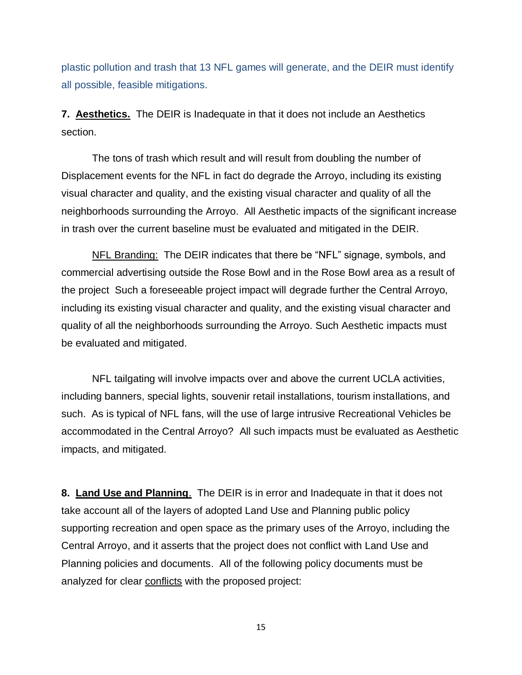plastic pollution and trash that 13 NFL games will generate, and the DEIR must identify all possible, feasible mitigations.

**7. Aesthetics.** The DEIR is Inadequate in that it does not include an Aesthetics section.

The tons of trash which result and will result from doubling the number of Displacement events for the NFL in fact do degrade the Arroyo, including its existing visual character and quality, and the existing visual character and quality of all the neighborhoods surrounding the Arroyo. All Aesthetic impacts of the significant increase in trash over the current baseline must be evaluated and mitigated in the DEIR.

NFL Branding: The DEIR indicates that there be "NFL" signage, symbols, and commercial advertising outside the Rose Bowl and in the Rose Bowl area as a result of the project Such a foreseeable project impact will degrade further the Central Arroyo, including its existing visual character and quality, and the existing visual character and quality of all the neighborhoods surrounding the Arroyo. Such Aesthetic impacts must be evaluated and mitigated.

NFL tailgating will involve impacts over and above the current UCLA activities, including banners, special lights, souvenir retail installations, tourism installations, and such. As is typical of NFL fans, will the use of large intrusive Recreational Vehicles be accommodated in the Central Arroyo? All such impacts must be evaluated as Aesthetic impacts, and mitigated.

**8. Land Use and Planning**. The DEIR is in error and Inadequate in that it does not take account all of the layers of adopted Land Use and Planning public policy supporting recreation and open space as the primary uses of the Arroyo, including the Central Arroyo, and it asserts that the project does not conflict with Land Use and Planning policies and documents. All of the following policy documents must be analyzed for clear conflicts with the proposed project: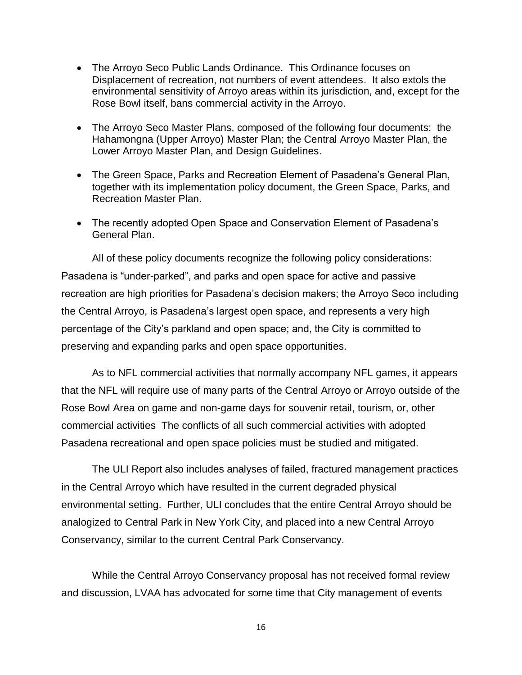- The Arroyo Seco Public Lands Ordinance. This Ordinance focuses on Displacement of recreation, not numbers of event attendees. It also extols the environmental sensitivity of Arroyo areas within its jurisdiction, and, except for the Rose Bowl itself, bans commercial activity in the Arroyo.
- The Arroyo Seco Master Plans, composed of the following four documents: the Hahamongna (Upper Arroyo) Master Plan; the Central Arroyo Master Plan, the Lower Arroyo Master Plan, and Design Guidelines.
- The Green Space, Parks and Recreation Element of Pasadena's General Plan, together with its implementation policy document, the Green Space, Parks, and Recreation Master Plan.
- The recently adopted Open Space and Conservation Element of Pasadena's General Plan.

All of these policy documents recognize the following policy considerations: Pasadena is "under-parked", and parks and open space for active and passive recreation are high priorities for Pasadena's decision makers; the Arroyo Seco including the Central Arroyo, is Pasadena's largest open space, and represents a very high percentage of the City's parkland and open space; and, the City is committed to preserving and expanding parks and open space opportunities.

As to NFL commercial activities that normally accompany NFL games, it appears that the NFL will require use of many parts of the Central Arroyo or Arroyo outside of the Rose Bowl Area on game and non-game days for souvenir retail, tourism, or, other commercial activities The conflicts of all such commercial activities with adopted Pasadena recreational and open space policies must be studied and mitigated.

The ULI Report also includes analyses of failed, fractured management practices in the Central Arroyo which have resulted in the current degraded physical environmental setting. Further, ULI concludes that the entire Central Arroyo should be analogized to Central Park in New York City, and placed into a new Central Arroyo Conservancy, similar to the current Central Park Conservancy.

While the Central Arroyo Conservancy proposal has not received formal review and discussion, LVAA has advocated for some time that City management of events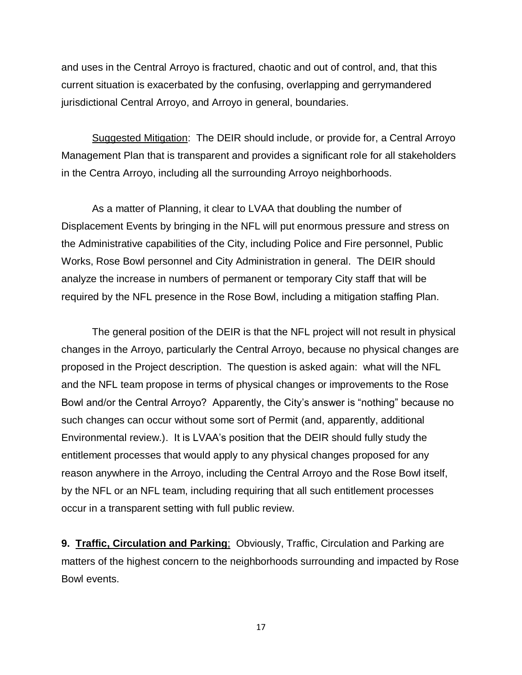and uses in the Central Arroyo is fractured, chaotic and out of control, and, that this current situation is exacerbated by the confusing, overlapping and gerrymandered jurisdictional Central Arroyo, and Arroyo in general, boundaries.

Suggested Mitigation: The DEIR should include, or provide for, a Central Arroyo Management Plan that is transparent and provides a significant role for all stakeholders in the Centra Arroyo, including all the surrounding Arroyo neighborhoods.

As a matter of Planning, it clear to LVAA that doubling the number of Displacement Events by bringing in the NFL will put enormous pressure and stress on the Administrative capabilities of the City, including Police and Fire personnel, Public Works, Rose Bowl personnel and City Administration in general. The DEIR should analyze the increase in numbers of permanent or temporary City staff that will be required by the NFL presence in the Rose Bowl, including a mitigation staffing Plan.

The general position of the DEIR is that the NFL project will not result in physical changes in the Arroyo, particularly the Central Arroyo, because no physical changes are proposed in the Project description. The question is asked again: what will the NFL and the NFL team propose in terms of physical changes or improvements to the Rose Bowl and/or the Central Arroyo? Apparently, the City's answer is "nothing" because no such changes can occur without some sort of Permit (and, apparently, additional Environmental review.). It is LVAA's position that the DEIR should fully study the entitlement processes that would apply to any physical changes proposed for any reason anywhere in the Arroyo, including the Central Arroyo and the Rose Bowl itself, by the NFL or an NFL team, including requiring that all such entitlement processes occur in a transparent setting with full public review.

**9. Traffic, Circulation and Parking**; Obviously, Traffic, Circulation and Parking are matters of the highest concern to the neighborhoods surrounding and impacted by Rose Bowl events.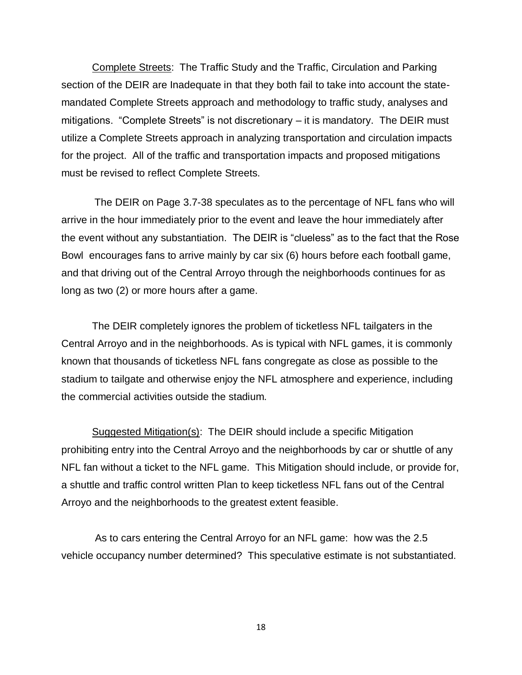Complete Streets: The Traffic Study and the Traffic, Circulation and Parking section of the DEIR are Inadequate in that they both fail to take into account the statemandated Complete Streets approach and methodology to traffic study, analyses and mitigations. "Complete Streets" is not discretionary – it is mandatory. The DEIR must utilize a Complete Streets approach in analyzing transportation and circulation impacts for the project. All of the traffic and transportation impacts and proposed mitigations must be revised to reflect Complete Streets.

The DEIR on Page 3.7-38 speculates as to the percentage of NFL fans who will arrive in the hour immediately prior to the event and leave the hour immediately after the event without any substantiation. The DEIR is "clueless" as to the fact that the Rose Bowl encourages fans to arrive mainly by car six (6) hours before each football game, and that driving out of the Central Arroyo through the neighborhoods continues for as long as two (2) or more hours after a game.

 The DEIR completely ignores the problem of ticketless NFL tailgaters in the Central Arroyo and in the neighborhoods. As is typical with NFL games, it is commonly known that thousands of ticketless NFL fans congregate as close as possible to the stadium to tailgate and otherwise enjoy the NFL atmosphere and experience, including the commercial activities outside the stadium.

Suggested Mitigation(s): The DEIR should include a specific Mitigation prohibiting entry into the Central Arroyo and the neighborhoods by car or shuttle of any NFL fan without a ticket to the NFL game. This Mitigation should include, or provide for, a shuttle and traffic control written Plan to keep ticketless NFL fans out of the Central Arroyo and the neighborhoods to the greatest extent feasible.

As to cars entering the Central Arroyo for an NFL game: how was the 2.5 vehicle occupancy number determined? This speculative estimate is not substantiated.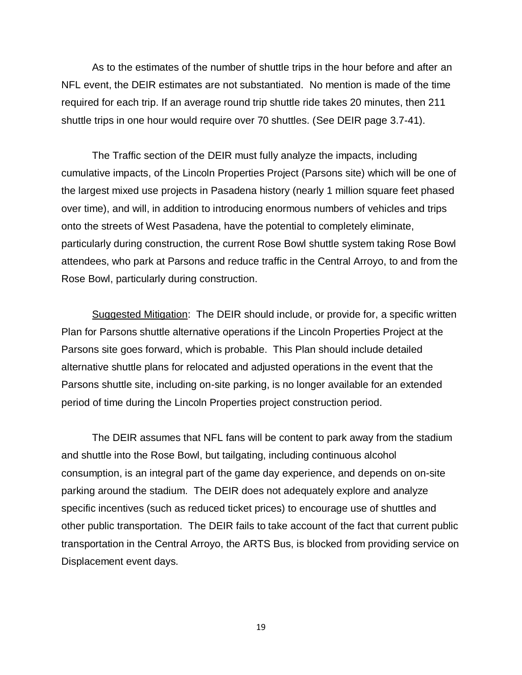As to the estimates of the number of shuttle trips in the hour before and after an NFL event, the DEIR estimates are not substantiated. No mention is made of the time required for each trip. If an average round trip shuttle ride takes 20 minutes, then 211 shuttle trips in one hour would require over 70 shuttles. (See DEIR page 3.7-41).

The Traffic section of the DEIR must fully analyze the impacts, including cumulative impacts, of the Lincoln Properties Project (Parsons site) which will be one of the largest mixed use projects in Pasadena history (nearly 1 million square feet phased over time), and will, in addition to introducing enormous numbers of vehicles and trips onto the streets of West Pasadena, have the potential to completely eliminate, particularly during construction, the current Rose Bowl shuttle system taking Rose Bowl attendees, who park at Parsons and reduce traffic in the Central Arroyo, to and from the Rose Bowl, particularly during construction.

Suggested Mitigation: The DEIR should include, or provide for, a specific written Plan for Parsons shuttle alternative operations if the Lincoln Properties Project at the Parsons site goes forward, which is probable. This Plan should include detailed alternative shuttle plans for relocated and adjusted operations in the event that the Parsons shuttle site, including on-site parking, is no longer available for an extended period of time during the Lincoln Properties project construction period.

The DEIR assumes that NFL fans will be content to park away from the stadium and shuttle into the Rose Bowl, but tailgating, including continuous alcohol consumption, is an integral part of the game day experience, and depends on on-site parking around the stadium. The DEIR does not adequately explore and analyze specific incentives (such as reduced ticket prices) to encourage use of shuttles and other public transportation. The DEIR fails to take account of the fact that current public transportation in the Central Arroyo, the ARTS Bus, is blocked from providing service on Displacement event days.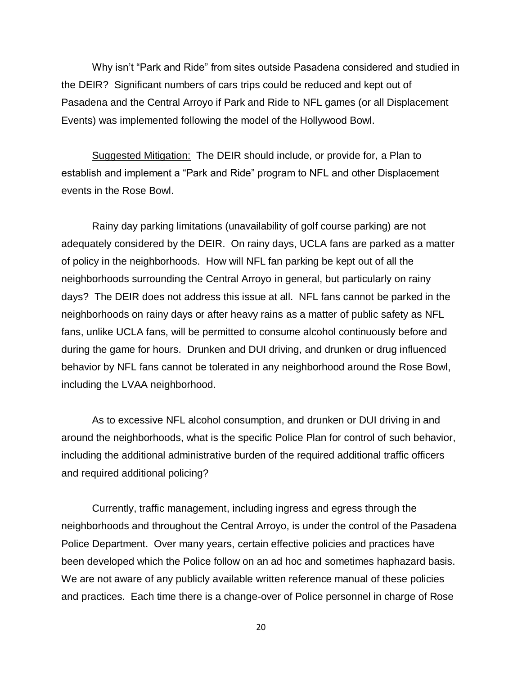Why isn't "Park and Ride" from sites outside Pasadena considered and studied in the DEIR? Significant numbers of cars trips could be reduced and kept out of Pasadena and the Central Arroyo if Park and Ride to NFL games (or all Displacement Events) was implemented following the model of the Hollywood Bowl.

Suggested Mitigation: The DEIR should include, or provide for, a Plan to establish and implement a "Park and Ride" program to NFL and other Displacement events in the Rose Bowl.

Rainy day parking limitations (unavailability of golf course parking) are not adequately considered by the DEIR. On rainy days, UCLA fans are parked as a matter of policy in the neighborhoods. How will NFL fan parking be kept out of all the neighborhoods surrounding the Central Arroyo in general, but particularly on rainy days? The DEIR does not address this issue at all. NFL fans cannot be parked in the neighborhoods on rainy days or after heavy rains as a matter of public safety as NFL fans, unlike UCLA fans, will be permitted to consume alcohol continuously before and during the game for hours. Drunken and DUI driving, and drunken or drug influenced behavior by NFL fans cannot be tolerated in any neighborhood around the Rose Bowl, including the LVAA neighborhood.

As to excessive NFL alcohol consumption, and drunken or DUI driving in and around the neighborhoods, what is the specific Police Plan for control of such behavior, including the additional administrative burden of the required additional traffic officers and required additional policing?

Currently, traffic management, including ingress and egress through the neighborhoods and throughout the Central Arroyo, is under the control of the Pasadena Police Department. Over many years, certain effective policies and practices have been developed which the Police follow on an ad hoc and sometimes haphazard basis. We are not aware of any publicly available written reference manual of these policies and practices. Each time there is a change-over of Police personnel in charge of Rose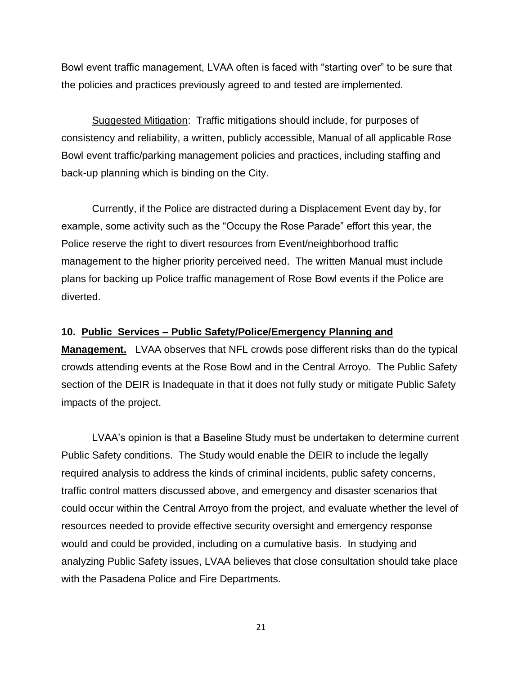Bowl event traffic management, LVAA often is faced with "starting over" to be sure that the policies and practices previously agreed to and tested are implemented.

Suggested Mitigation: Traffic mitigations should include, for purposes of consistency and reliability, a written, publicly accessible, Manual of all applicable Rose Bowl event traffic/parking management policies and practices, including staffing and back-up planning which is binding on the City.

Currently, if the Police are distracted during a Displacement Event day by, for example, some activity such as the "Occupy the Rose Parade" effort this year, the Police reserve the right to divert resources from Event/neighborhood traffic management to the higher priority perceived need. The written Manual must include plans for backing up Police traffic management of Rose Bowl events if the Police are diverted.

## **10. Public Services – Public Safety/Police/Emergency Planning and**

**Management.** LVAA observes that NFL crowds pose different risks than do the typical crowds attending events at the Rose Bowl and in the Central Arroyo. The Public Safety section of the DEIR is Inadequate in that it does not fully study or mitigate Public Safety impacts of the project.

LVAA's opinion is that a Baseline Study must be undertaken to determine current Public Safety conditions. The Study would enable the DEIR to include the legally required analysis to address the kinds of criminal incidents, public safety concerns, traffic control matters discussed above, and emergency and disaster scenarios that could occur within the Central Arroyo from the project, and evaluate whether the level of resources needed to provide effective security oversight and emergency response would and could be provided, including on a cumulative basis. In studying and analyzing Public Safety issues, LVAA believes that close consultation should take place with the Pasadena Police and Fire Departments.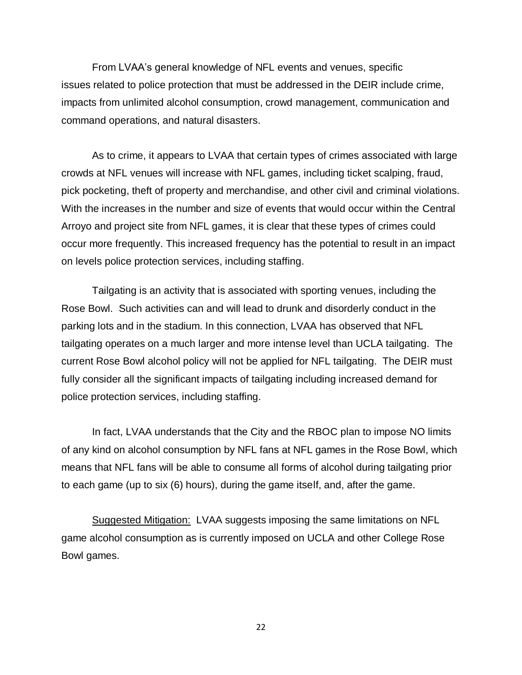From LVAA's general knowledge of NFL events and venues, specific issues related to police protection that must be addressed in the DEIR include crime, impacts from unlimited alcohol consumption, crowd management, communication and command operations, and natural disasters.

As to crime, it appears to LVAA that certain types of crimes associated with large crowds at NFL venues will increase with NFL games, including ticket scalping, fraud, pick pocketing, theft of property and merchandise, and other civil and criminal violations. With the increases in the number and size of events that would occur within the Central Arroyo and project site from NFL games, it is clear that these types of crimes could occur more frequently. This increased frequency has the potential to result in an impact on levels police protection services, including staffing.

Tailgating is an activity that is associated with sporting venues, including the Rose Bowl. Such activities can and will lead to drunk and disorderly conduct in the parking lots and in the stadium. In this connection, LVAA has observed that NFL tailgating operates on a much larger and more intense level than UCLA tailgating. The current Rose Bowl alcohol policy will not be applied for NFL tailgating. The DEIR must fully consider all the significant impacts of tailgating including increased demand for police protection services, including staffing.

In fact, LVAA understands that the City and the RBOC plan to impose NO limits of any kind on alcohol consumption by NFL fans at NFL games in the Rose Bowl, which means that NFL fans will be able to consume all forms of alcohol during tailgating prior to each game (up to six (6) hours), during the game itself, and, after the game.

Suggested Mitigation: LVAA suggests imposing the same limitations on NFL game alcohol consumption as is currently imposed on UCLA and other College Rose Bowl games.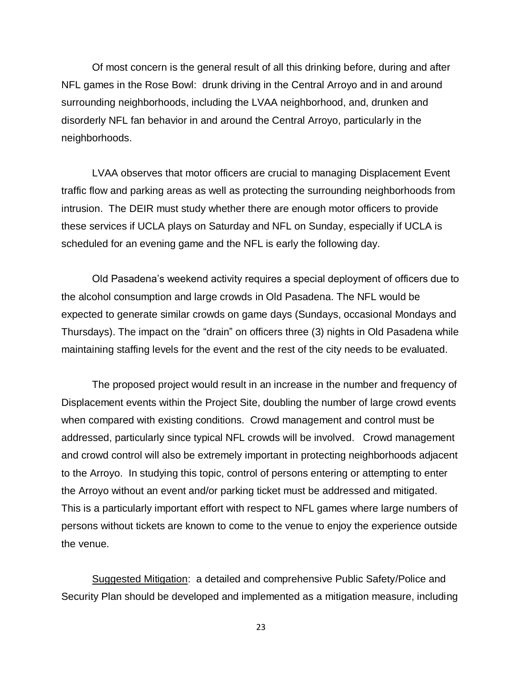Of most concern is the general result of all this drinking before, during and after NFL games in the Rose Bowl: drunk driving in the Central Arroyo and in and around surrounding neighborhoods, including the LVAA neighborhood, and, drunken and disorderly NFL fan behavior in and around the Central Arroyo, particularly in the neighborhoods.

LVAA observes that motor officers are crucial to managing Displacement Event traffic flow and parking areas as well as protecting the surrounding neighborhoods from intrusion. The DEIR must study whether there are enough motor officers to provide these services if UCLA plays on Saturday and NFL on Sunday, especially if UCLA is scheduled for an evening game and the NFL is early the following day.

Old Pasadena's weekend activity requires a special deployment of officers due to the alcohol consumption and large crowds in Old Pasadena. The NFL would be expected to generate similar crowds on game days (Sundays, occasional Mondays and Thursdays). The impact on the "drain" on officers three (3) nights in Old Pasadena while maintaining staffing levels for the event and the rest of the city needs to be evaluated.

The proposed project would result in an increase in the number and frequency of Displacement events within the Project Site, doubling the number of large crowd events when compared with existing conditions. Crowd management and control must be addressed, particularly since typical NFL crowds will be involved. Crowd management and crowd control will also be extremely important in protecting neighborhoods adjacent to the Arroyo. In studying this topic, control of persons entering or attempting to enter the Arroyo without an event and/or parking ticket must be addressed and mitigated. This is a particularly important effort with respect to NFL games where large numbers of persons without tickets are known to come to the venue to enjoy the experience outside the venue.

Suggested Mitigation: a detailed and comprehensive Public Safety/Police and Security Plan should be developed and implemented as a mitigation measure, including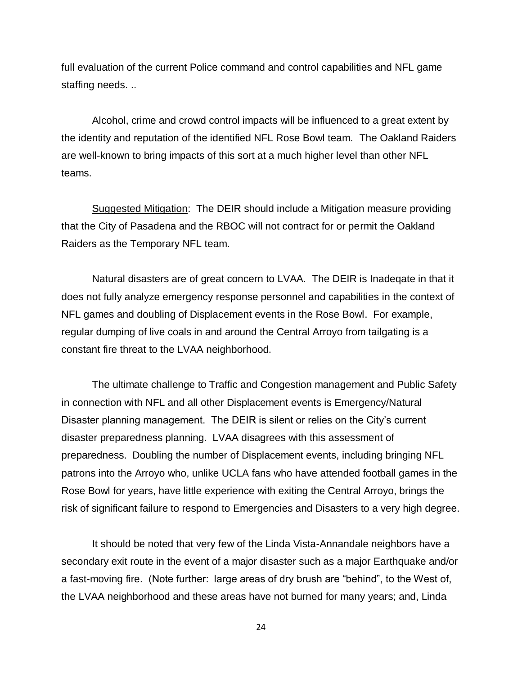full evaluation of the current Police command and control capabilities and NFL game staffing needs. ..

Alcohol, crime and crowd control impacts will be influenced to a great extent by the identity and reputation of the identified NFL Rose Bowl team. The Oakland Raiders are well-known to bring impacts of this sort at a much higher level than other NFL teams.

Suggested Mitigation: The DEIR should include a Mitigation measure providing that the City of Pasadena and the RBOC will not contract for or permit the Oakland Raiders as the Temporary NFL team.

Natural disasters are of great concern to LVAA. The DEIR is Inadeqate in that it does not fully analyze emergency response personnel and capabilities in the context of NFL games and doubling of Displacement events in the Rose Bowl. For example, regular dumping of live coals in and around the Central Arroyo from tailgating is a constant fire threat to the LVAA neighborhood.

The ultimate challenge to Traffic and Congestion management and Public Safety in connection with NFL and all other Displacement events is Emergency/Natural Disaster planning management. The DEIR is silent or relies on the City's current disaster preparedness planning. LVAA disagrees with this assessment of preparedness. Doubling the number of Displacement events, including bringing NFL patrons into the Arroyo who, unlike UCLA fans who have attended football games in the Rose Bowl for years, have little experience with exiting the Central Arroyo, brings the risk of significant failure to respond to Emergencies and Disasters to a very high degree.

It should be noted that very few of the Linda Vista-Annandale neighbors have a secondary exit route in the event of a major disaster such as a major Earthquake and/or a fast-moving fire. (Note further: large areas of dry brush are "behind", to the West of, the LVAA neighborhood and these areas have not burned for many years; and, Linda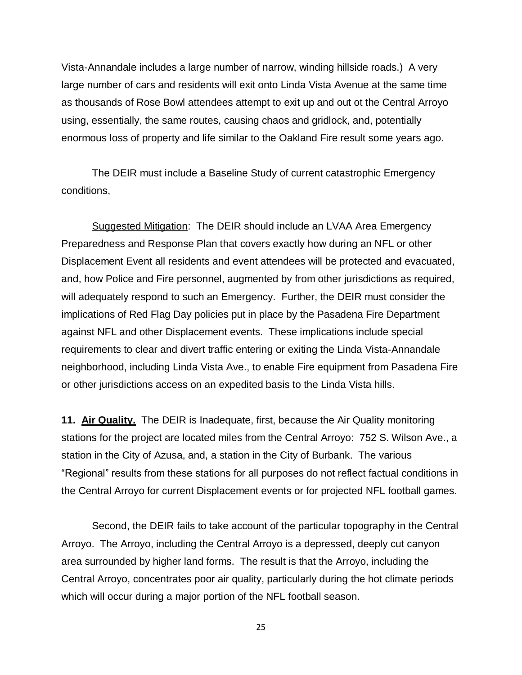Vista-Annandale includes a large number of narrow, winding hillside roads.) A very large number of cars and residents will exit onto Linda Vista Avenue at the same time as thousands of Rose Bowl attendees attempt to exit up and out ot the Central Arroyo using, essentially, the same routes, causing chaos and gridlock, and, potentially enormous loss of property and life similar to the Oakland Fire result some years ago.

The DEIR must include a Baseline Study of current catastrophic Emergency conditions,

Suggested Mitigation: The DEIR should include an LVAA Area Emergency Preparedness and Response Plan that covers exactly how during an NFL or other Displacement Event all residents and event attendees will be protected and evacuated, and, how Police and Fire personnel, augmented by from other jurisdictions as required, will adequately respond to such an Emergency. Further, the DEIR must consider the implications of Red Flag Day policies put in place by the Pasadena Fire Department against NFL and other Displacement events. These implications include special requirements to clear and divert traffic entering or exiting the Linda Vista-Annandale neighborhood, including Linda Vista Ave., to enable Fire equipment from Pasadena Fire or other jurisdictions access on an expedited basis to the Linda Vista hills.

**11. Air Quality.** The DEIR is Inadequate, first, because the Air Quality monitoring stations for the project are located miles from the Central Arroyo: 752 S. Wilson Ave., a station in the City of Azusa, and, a station in the City of Burbank. The various "Regional" results from these stations for all purposes do not reflect factual conditions in the Central Arroyo for current Displacement events or for projected NFL football games.

Second, the DEIR fails to take account of the particular topography in the Central Arroyo. The Arroyo, including the Central Arroyo is a depressed, deeply cut canyon area surrounded by higher land forms. The result is that the Arroyo, including the Central Arroyo, concentrates poor air quality, particularly during the hot climate periods which will occur during a major portion of the NFL football season.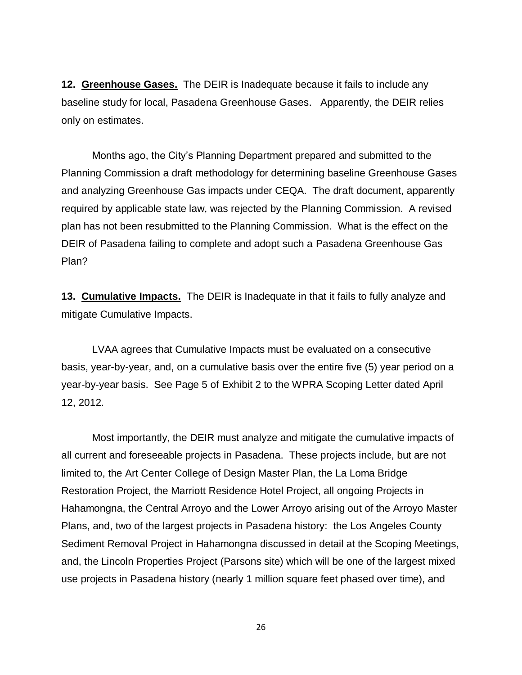**12. Greenhouse Gases.** The DEIR is Inadequate because it fails to include any baseline study for local, Pasadena Greenhouse Gases. Apparently, the DEIR relies only on estimates.

Months ago, the City's Planning Department prepared and submitted to the Planning Commission a draft methodology for determining baseline Greenhouse Gases and analyzing Greenhouse Gas impacts under CEQA. The draft document, apparently required by applicable state law, was rejected by the Planning Commission. A revised plan has not been resubmitted to the Planning Commission. What is the effect on the DEIR of Pasadena failing to complete and adopt such a Pasadena Greenhouse Gas Plan?

**13. Cumulative Impacts.** The DEIR is Inadequate in that it fails to fully analyze and mitigate Cumulative Impacts.

LVAA agrees that Cumulative Impacts must be evaluated on a consecutive basis, year-by-year, and, on a cumulative basis over the entire five (5) year period on a year-by-year basis. See Page 5 of Exhibit 2 to the WPRA Scoping Letter dated April 12, 2012.

Most importantly, the DEIR must analyze and mitigate the cumulative impacts of all current and foreseeable projects in Pasadena. These projects include, but are not limited to, the Art Center College of Design Master Plan, the La Loma Bridge Restoration Project, the Marriott Residence Hotel Project, all ongoing Projects in Hahamongna, the Central Arroyo and the Lower Arroyo arising out of the Arroyo Master Plans, and, two of the largest projects in Pasadena history: the Los Angeles County Sediment Removal Project in Hahamongna discussed in detail at the Scoping Meetings, and, the Lincoln Properties Project (Parsons site) which will be one of the largest mixed use projects in Pasadena history (nearly 1 million square feet phased over time), and